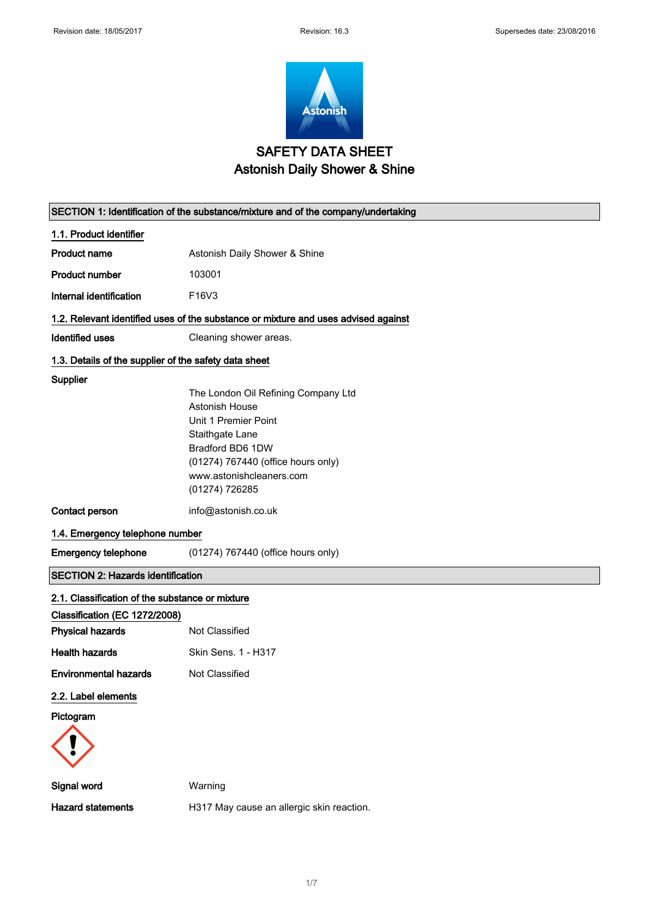

## SAFETY DATA SHEET Astonish Daily Shower & Shine

| SECTION 1: Identification of the substance/mixture and of the company/undertaking |                                                                                    |  |
|-----------------------------------------------------------------------------------|------------------------------------------------------------------------------------|--|
| 1.1. Product identifier                                                           |                                                                                    |  |
| <b>Product name</b>                                                               | Astonish Daily Shower & Shine                                                      |  |
| <b>Product number</b>                                                             | 103001                                                                             |  |
| Internal identification                                                           | F16V3                                                                              |  |
|                                                                                   | 1.2. Relevant identified uses of the substance or mixture and uses advised against |  |
| <b>Identified uses</b>                                                            | Cleaning shower areas.                                                             |  |
| 1.3. Details of the supplier of the safety data sheet                             |                                                                                    |  |
| Supplier                                                                          |                                                                                    |  |
|                                                                                   | The London Oil Refining Company Ltd                                                |  |
|                                                                                   | Astonish House                                                                     |  |
|                                                                                   | Unit 1 Premier Point<br>Staithgate Lane                                            |  |
|                                                                                   | Bradford BD6 1DW                                                                   |  |
|                                                                                   | (01274) 767440 (office hours only)                                                 |  |
|                                                                                   | www.astonishcleaners.com                                                           |  |
|                                                                                   | (01274) 726285                                                                     |  |
| Contact person                                                                    | info@astonish.co.uk                                                                |  |
|                                                                                   | 1.4. Emergency telephone number                                                    |  |
| <b>Emergency telephone</b>                                                        | (01274) 767440 (office hours only)                                                 |  |
| <b>SECTION 2: Hazards identification</b>                                          |                                                                                    |  |
| 2.1. Classification of the substance or mixture                                   |                                                                                    |  |
| Classification (EC 1272/2008)                                                     |                                                                                    |  |
| <b>Physical hazards</b>                                                           | Not Classified                                                                     |  |
| <b>Health hazards</b>                                                             | Skin Sens. 1 - H317                                                                |  |
| <b>Environmental hazards</b>                                                      | Not Classified                                                                     |  |
| 2.2. Label elements                                                               |                                                                                    |  |
| Pictogram                                                                         |                                                                                    |  |
|                                                                                   |                                                                                    |  |
| Signal word                                                                       | Warning                                                                            |  |
| <b>Hazard statements</b>                                                          | H317 May cause an allergic skin reaction.                                          |  |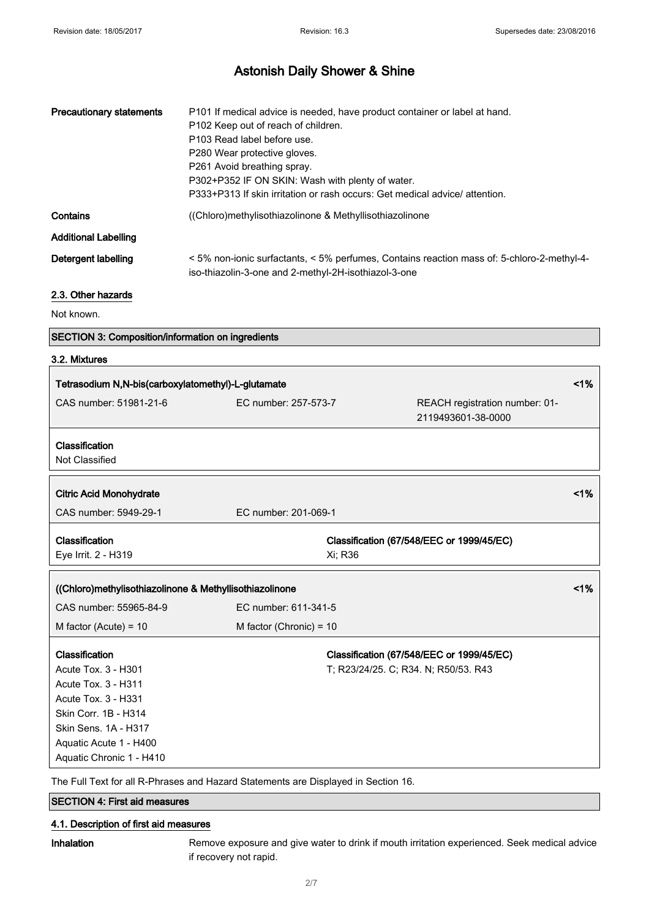| <b>Precautionary statements</b> | P101 If medical advice is needed, have product container or label at hand.<br>P102 Keep out of reach of children.<br>P103 Read label before use.<br>P280 Wear protective gloves.<br>P261 Avoid breathing spray.<br>P302+P352 IF ON SKIN: Wash with plenty of water.<br>P333+P313 If skin irritation or rash occurs: Get medical advice/attention. |
|---------------------------------|---------------------------------------------------------------------------------------------------------------------------------------------------------------------------------------------------------------------------------------------------------------------------------------------------------------------------------------------------|
| Contains                        | ((Chloro)methylisothiazolinone & Methyllisothiazolinone                                                                                                                                                                                                                                                                                           |
| <b>Additional Labelling</b>     |                                                                                                                                                                                                                                                                                                                                                   |
| Detergent labelling             | <5% non-ionic surfactants, <5% perfumes, Contains reaction mass of: 5-chloro-2-methyl-4-<br>iso-thiazolin-3-one and 2-methyl-2H-isothiazol-3-one                                                                                                                                                                                                  |

### 2.3. Other hazards

Not known.

|  | <b>SECTION 3: Composition/information on ingredients</b> |  |
|--|----------------------------------------------------------|--|
|--|----------------------------------------------------------|--|

### 3.2. Mixtures

| Tetrasodium N,N-bis(carboxylatomethyl)-L-glutamate      |                           | 1%                                                   |    |
|---------------------------------------------------------|---------------------------|------------------------------------------------------|----|
| CAS number: 51981-21-6                                  | EC number: 257-573-7      | REACH registration number: 01-<br>2119493601-38-0000 |    |
| Classification<br>Not Classified                        |                           |                                                      |    |
|                                                         |                           |                                                      |    |
| <b>Citric Acid Monohydrate</b>                          |                           |                                                      | 1% |
| CAS number: 5949-29-1                                   | EC number: 201-069-1      |                                                      |    |
| Classification                                          |                           | Classification (67/548/EEC or 1999/45/EC)            |    |
| Eye Irrit. 2 - H319                                     | Xi; R36                   |                                                      |    |
| ((Chloro)methylisothiazolinone & Methyllisothiazolinone |                           |                                                      | 1% |
| CAS number: 55965-84-9                                  | EC number: 611-341-5      |                                                      |    |
| M factor (Acute) = $10$                                 | M factor (Chronic) = $10$ |                                                      |    |
| Classification                                          |                           | Classification (67/548/EEC or 1999/45/EC)            |    |
| Acute Tox. 3 - H301                                     |                           | T; R23/24/25. C; R34. N; R50/53. R43                 |    |
| Acute Tox. 3 - H311                                     |                           |                                                      |    |
| Acute Tox. 3 - H331                                     |                           |                                                      |    |
| Skin Corr. 1B - H314                                    |                           |                                                      |    |
| Skin Sens. 1A - H317                                    |                           |                                                      |    |
| Aquatic Acute 1 - H400                                  |                           |                                                      |    |
|                                                         |                           |                                                      |    |
| Aquatic Chronic 1 - H410                                |                           |                                                      |    |

The Full Text for all R-Phrases and Hazard Statements are Displayed in Section 16.

# SECTION 4: First aid measures

### 4.1. Description of first aid measures

Inhalation Remove exposure and give water to drink if mouth irritation experienced. Seek medical advice if recovery not rapid.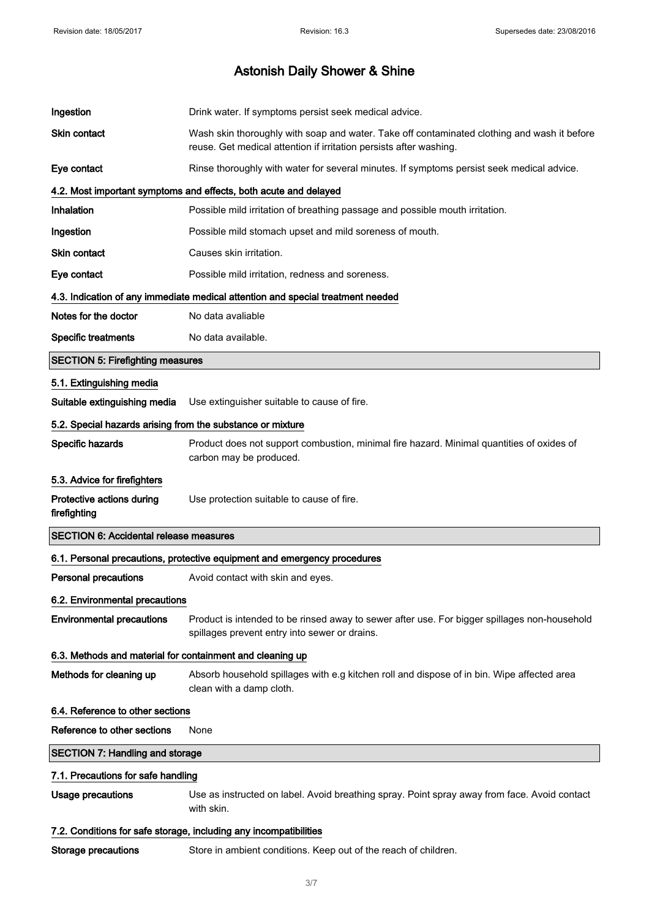| Ingestion                                                  | Drink water. If symptoms persist seek medical advice.                                                                                                             |
|------------------------------------------------------------|-------------------------------------------------------------------------------------------------------------------------------------------------------------------|
| <b>Skin contact</b>                                        | Wash skin thoroughly with soap and water. Take off contaminated clothing and wash it before<br>reuse. Get medical attention if irritation persists after washing. |
| Eye contact                                                | Rinse thoroughly with water for several minutes. If symptoms persist seek medical advice.                                                                         |
|                                                            | 4.2. Most important symptoms and effects, both acute and delayed                                                                                                  |
| Inhalation                                                 | Possible mild irritation of breathing passage and possible mouth irritation.                                                                                      |
| Ingestion                                                  | Possible mild stomach upset and mild soreness of mouth.                                                                                                           |
| <b>Skin contact</b>                                        | Causes skin irritation.                                                                                                                                           |
| Eye contact                                                | Possible mild irritation, redness and soreness.                                                                                                                   |
|                                                            | 4.3. Indication of any immediate medical attention and special treatment needed                                                                                   |
| Notes for the doctor                                       | No data avaliable                                                                                                                                                 |
| <b>Specific treatments</b>                                 | No data available.                                                                                                                                                |
| <b>SECTION 5: Firefighting measures</b>                    |                                                                                                                                                                   |
| 5.1. Extinguishing media                                   |                                                                                                                                                                   |
| Suitable extinguishing media                               | Use extinguisher suitable to cause of fire.                                                                                                                       |
| 5.2. Special hazards arising from the substance or mixture |                                                                                                                                                                   |
| Specific hazards                                           | Product does not support combustion, minimal fire hazard. Minimal quantities of oxides of<br>carbon may be produced.                                              |
| 5.3. Advice for firefighters                               |                                                                                                                                                                   |
| Protective actions during<br>firefighting                  | Use protection suitable to cause of fire.                                                                                                                         |
| <b>SECTION 6: Accidental release measures</b>              |                                                                                                                                                                   |
|                                                            | 6.1. Personal precautions, protective equipment and emergency procedures                                                                                          |
| <b>Personal precautions</b>                                | Avoid contact with skin and eyes.                                                                                                                                 |
| 6.2. Environmental precautions                             |                                                                                                                                                                   |
| <b>Environmental precautions</b>                           | Product is intended to be rinsed away to sewer after use. For bigger spillages non-household<br>spillages prevent entry into sewer or drains.                     |
| 6.3. Methods and material for containment and cleaning up  |                                                                                                                                                                   |
| Methods for cleaning up                                    | Absorb household spillages with e.g kitchen roll and dispose of in bin. Wipe affected area<br>clean with a damp cloth.                                            |
| 6.4. Reference to other sections                           |                                                                                                                                                                   |
| Reference to other sections                                | None                                                                                                                                                              |
| <b>SECTION 7: Handling and storage</b>                     |                                                                                                                                                                   |
| 7.1. Precautions for safe handling                         |                                                                                                                                                                   |
| <b>Usage precautions</b>                                   | Use as instructed on label. Avoid breathing spray. Point spray away from face. Avoid contact<br>with skin.                                                        |
|                                                            | 7.2. Conditions for safe storage, including any incompatibilities                                                                                                 |
| <b>Storage precautions</b>                                 | Store in ambient conditions. Keep out of the reach of children.                                                                                                   |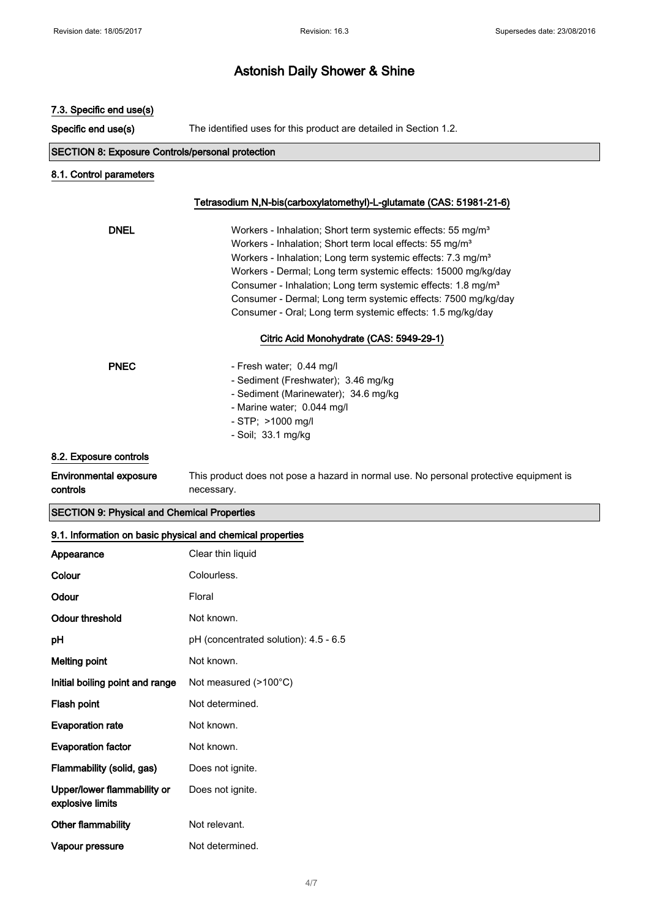| 7.3. Specific end use(s)                                |                                                                                                                                                                                                                                                                                                                                                                                                                                                                                                        |
|---------------------------------------------------------|--------------------------------------------------------------------------------------------------------------------------------------------------------------------------------------------------------------------------------------------------------------------------------------------------------------------------------------------------------------------------------------------------------------------------------------------------------------------------------------------------------|
| Specific end use(s)                                     | The identified uses for this product are detailed in Section 1.2.                                                                                                                                                                                                                                                                                                                                                                                                                                      |
| <b>SECTION 8: Exposure Controls/personal protection</b> |                                                                                                                                                                                                                                                                                                                                                                                                                                                                                                        |
| 8.1. Control parameters                                 |                                                                                                                                                                                                                                                                                                                                                                                                                                                                                                        |
|                                                         | Tetrasodium N,N-bis(carboxylatomethyl)-L-glutamate (CAS: 51981-21-6)                                                                                                                                                                                                                                                                                                                                                                                                                                   |
| <b>DNEL</b>                                             | Workers - Inhalation; Short term systemic effects: 55 mg/m <sup>3</sup><br>Workers - Inhalation; Short term local effects: 55 mg/m <sup>3</sup><br>Workers - Inhalation; Long term systemic effects: 7.3 mg/m <sup>3</sup><br>Workers - Dermal; Long term systemic effects: 15000 mg/kg/day<br>Consumer - Inhalation; Long term systemic effects: 1.8 mg/m <sup>3</sup><br>Consumer - Dermal; Long term systemic effects: 7500 mg/kg/day<br>Consumer - Oral; Long term systemic effects: 1.5 mg/kg/day |
|                                                         | Citric Acid Monohydrate (CAS: 5949-29-1)                                                                                                                                                                                                                                                                                                                                                                                                                                                               |
| <b>PNEC</b>                                             | - Fresh water; 0.44 mg/l<br>- Sediment (Freshwater); 3.46 mg/kg<br>- Sediment (Marinewater); 34.6 mg/kg<br>- Marine water; 0.044 mg/l<br>- STP; >1000 mg/l<br>- Soil; 33.1 mg/kg                                                                                                                                                                                                                                                                                                                       |
| 8.2. Exposure controls                                  |                                                                                                                                                                                                                                                                                                                                                                                                                                                                                                        |
| <b>Environmental exposure</b><br>controls               | This product does not pose a hazard in normal use. No personal protective equipment is<br>necessary.                                                                                                                                                                                                                                                                                                                                                                                                   |

SECTION 9: Physical and Chemical Properties

| Appearance                                      | Clear thin liquid                         |
|-------------------------------------------------|-------------------------------------------|
| Colour                                          | Colourless.                               |
| Odour                                           | Floral                                    |
| Odour threshold                                 | Not known.                                |
| рH                                              | $pH$ (concentrated solution): $4.5 - 6.5$ |
| <b>Melting point</b>                            | Not known.                                |
| Initial boiling point and range                 | Not measured (>100°C)                     |
| Flash point                                     | Not determined.                           |
| <b>Evaporation rate</b>                         | Not known.                                |
| <b>Evaporation factor</b>                       | Not known.                                |
| Flammability (solid, gas)                       | Does not ignite.                          |
| Upper/lower flammability or<br>explosive limits | Does not ignite.                          |
| <b>Other flammability</b>                       | Not relevant.                             |
| Vapour pressure                                 | Not determined.                           |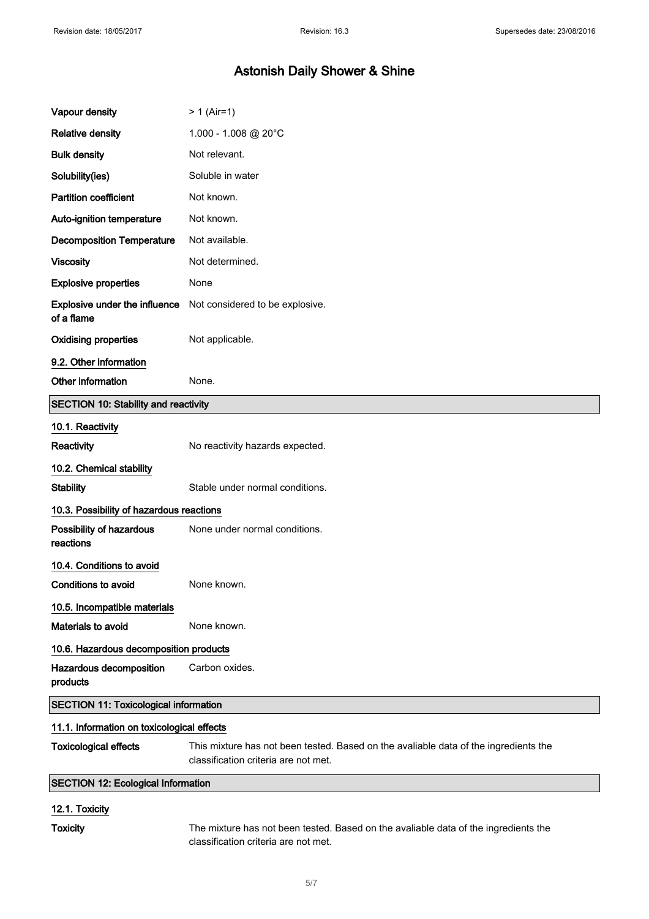| Vapour density                                     | $> 1$ (Air=1)                                                                                                                |
|----------------------------------------------------|------------------------------------------------------------------------------------------------------------------------------|
| <b>Relative density</b>                            | $1.000 - 1.008$ @ 20°C                                                                                                       |
| <b>Bulk density</b>                                | Not relevant.                                                                                                                |
| Solubility(ies)                                    | Soluble in water                                                                                                             |
| <b>Partition coefficient</b>                       | Not known.                                                                                                                   |
| Auto-ignition temperature                          | Not known.                                                                                                                   |
| <b>Decomposition Temperature</b>                   | Not available.                                                                                                               |
| <b>Viscosity</b>                                   | Not determined.                                                                                                              |
| <b>Explosive properties</b>                        | None                                                                                                                         |
| <b>Explosive under the influence</b><br>of a flame | Not considered to be explosive.                                                                                              |
| <b>Oxidising properties</b>                        | Not applicable.                                                                                                              |
| 9.2. Other information                             |                                                                                                                              |
| Other information                                  | None.                                                                                                                        |
| <b>SECTION 10: Stability and reactivity</b>        |                                                                                                                              |
| 10.1. Reactivity                                   |                                                                                                                              |
| Reactivity                                         | No reactivity hazards expected.                                                                                              |
| 10.2. Chemical stability                           |                                                                                                                              |
| <b>Stability</b>                                   | Stable under normal conditions.                                                                                              |
| 10.3. Possibility of hazardous reactions           |                                                                                                                              |
| Possibility of hazardous<br>reactions              | None under normal conditions.                                                                                                |
| 10.4. Conditions to avoid                          |                                                                                                                              |
| <b>Conditions to avoid</b>                         | None known.                                                                                                                  |
| 10.5. Incompatible materials                       |                                                                                                                              |
| Materials to avoid                                 | None known.                                                                                                                  |
| 10.6. Hazardous decomposition products             |                                                                                                                              |
| Hazardous decomposition<br>products                | Carbon oxides.                                                                                                               |
| <b>SECTION 11: Toxicological information</b>       |                                                                                                                              |
| 11.1. Information on toxicological effects         |                                                                                                                              |
| <b>Toxicological effects</b>                       | This mixture has not been tested. Based on the avaliable data of the ingredients the<br>classification criteria are not met. |
| <b>SECTION 12: Ecological Information</b>          |                                                                                                                              |
| 12.1. Toxicity                                     |                                                                                                                              |

Toxicity The mixture has not been tested. Based on the avaliable data of the ingredients the classification criteria are not met.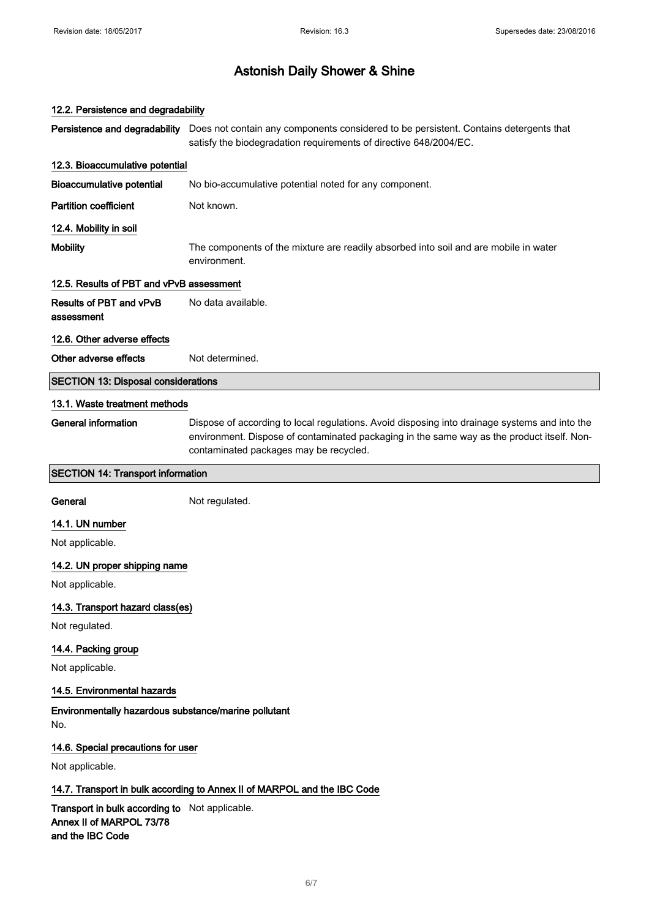# 12.2. Persistence and degradability Persistence and degradability Does not contain any components considered to be persistent. Contains detergents that satisfy the biodegradation requirements of directive 648/2004/EC. 12.3. Bioaccumulative potential Bioaccumulative potential No bio-accumulative potential noted for any component. **Partition coefficient** Not known. 12.4. Mobility in soil Mobility The components of the mixture are readily absorbed into soil and are mobile in water environment. 12.5. Results of PBT and vPvB assessment Results of PBT and vPvB assessment No data available. 12.6. Other adverse effects Other adverse effects Not determined. SECTION 13: Disposal considerations 13.1. Waste treatment methods General information Dispose of according to local regulations. Avoid disposing into drainage systems and into the environment. Dispose of contaminated packaging in the same way as the product itself. Noncontaminated packages may be recycled. SECTION 14: Transport information General Not regulated. 14.1. UN number Not applicable. 14.2. UN proper shipping name Not applicable. 14.3. Transport hazard class(es) Not regulated. 14.4. Packing group Not applicable. 14.5. Environmental hazards Environmentally hazardous substance/marine pollutant No. 14.6. Special precautions for user Not applicable. 14.7. Transport in bulk according to Annex II of MARPOL and the IBC Code Transport in bulk according to Not applicable. Annex II of MARPOL 73/78 and the IBC Code